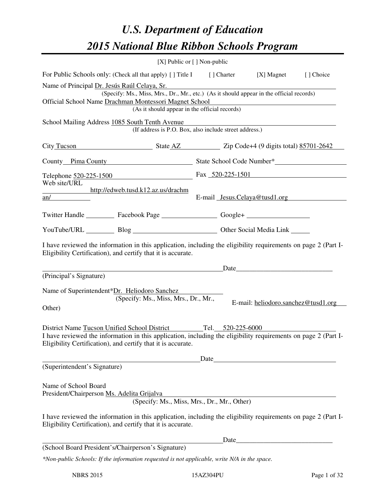# *U.S. Department of Education 2015 National Blue Ribbon Schools Program*

|                                                                                                                                                                                                                                   | [X] Public or [] Non-public                                                                                                                                                      |  |       |                                                                                                                                                                                                                               |            |  |
|-----------------------------------------------------------------------------------------------------------------------------------------------------------------------------------------------------------------------------------|----------------------------------------------------------------------------------------------------------------------------------------------------------------------------------|--|-------|-------------------------------------------------------------------------------------------------------------------------------------------------------------------------------------------------------------------------------|------------|--|
|                                                                                                                                                                                                                                   | For Public Schools only: (Check all that apply) [] Title I [] Charter [X] Magnet                                                                                                 |  |       |                                                                                                                                                                                                                               | [ ] Choice |  |
| Name of Principal Dr. Jesús Raúl Celaya, Sr.                                                                                                                                                                                      | (Specify: Ms., Miss, Mrs., Dr., Mr., etc.) (As it should appear in the official records)                                                                                         |  |       |                                                                                                                                                                                                                               |            |  |
| Official School Name Drachman Montessori Magnet School<br><u> 1989 - Johann Stoff, deutscher Stoffen und der Stoffen und der Stoffen und der Stoffen und der Stoffen und der</u><br>(As it should appear in the official records) |                                                                                                                                                                                  |  |       |                                                                                                                                                                                                                               |            |  |
| School Mailing Address 1085 South Tenth Avenue                                                                                                                                                                                    |                                                                                                                                                                                  |  |       |                                                                                                                                                                                                                               |            |  |
|                                                                                                                                                                                                                                   | (If address is P.O. Box, also include street address.)                                                                                                                           |  |       |                                                                                                                                                                                                                               |            |  |
|                                                                                                                                                                                                                                   | City Tucson State AZ Zip Code+4 (9 digits total) 85701-2642                                                                                                                      |  |       |                                                                                                                                                                                                                               |            |  |
|                                                                                                                                                                                                                                   | County Pima County State School Code Number*                                                                                                                                     |  |       |                                                                                                                                                                                                                               |            |  |
| Web site/URL                                                                                                                                                                                                                      | Telephone $\frac{520-225-1500}{225}$ Fax $\frac{520-225-1501}{225}$                                                                                                              |  |       |                                                                                                                                                                                                                               |            |  |
|                                                                                                                                                                                                                                   | http://edweb.tusd.k12.az.us/drachm                                                                                                                                               |  |       |                                                                                                                                                                                                                               |            |  |
| an/                                                                                                                                                                                                                               |                                                                                                                                                                                  |  |       | E-mail Jesus.Celaya@tusd1.org                                                                                                                                                                                                 |            |  |
|                                                                                                                                                                                                                                   | Twitter Handle ___________ Facebook Page ___________________ Google+ ____________                                                                                                |  |       |                                                                                                                                                                                                                               |            |  |
|                                                                                                                                                                                                                                   | YouTube/URL Blog Blog Discount Other Social Media Link                                                                                                                           |  |       |                                                                                                                                                                                                                               |            |  |
|                                                                                                                                                                                                                                   | I have reviewed the information in this application, including the eligibility requirements on page 2 (Part I-<br>Eligibility Certification), and certify that it is accurate.   |  |       |                                                                                                                                                                                                                               |            |  |
|                                                                                                                                                                                                                                   |                                                                                                                                                                                  |  |       | Date experience and the set of the set of the set of the set of the set of the set of the set of the set of the set of the set of the set of the set of the set of the set of the set of the set of the set of the set of the |            |  |
| (Principal's Signature)                                                                                                                                                                                                           |                                                                                                                                                                                  |  |       |                                                                                                                                                                                                                               |            |  |
| Name of Superintendent*Dr. Heliodoro Sanchez                                                                                                                                                                                      | (Specify: Ms., Miss, Mrs., Dr., Mr.,                                                                                                                                             |  |       |                                                                                                                                                                                                                               |            |  |
| Other)                                                                                                                                                                                                                            |                                                                                                                                                                                  |  |       | E-mail: heliodoro.sanchez@tusd1.org                                                                                                                                                                                           |            |  |
|                                                                                                                                                                                                                                   |                                                                                                                                                                                  |  |       |                                                                                                                                                                                                                               |            |  |
|                                                                                                                                                                                                                                   | District Name Tucson Unified School District Tel. 520-225-6000<br>I have reviewed the information in this application, including the eligibility requirements on page 2 (Part I- |  |       |                                                                                                                                                                                                                               |            |  |
|                                                                                                                                                                                                                                   | Eligibility Certification), and certify that it is accurate.                                                                                                                     |  |       |                                                                                                                                                                                                                               |            |  |
|                                                                                                                                                                                                                                   |                                                                                                                                                                                  |  |       | Date and the same state of the state of the state of the state of the state of the state of the state of the state of the state of the state of the state of the state of the state of the state of the state of the state of |            |  |
| (Superintendent's Signature)                                                                                                                                                                                                      |                                                                                                                                                                                  |  |       |                                                                                                                                                                                                                               |            |  |
| Name of School Board<br>President/Chairperson Ms. Adelita Grijalva                                                                                                                                                                |                                                                                                                                                                                  |  |       |                                                                                                                                                                                                                               |            |  |
|                                                                                                                                                                                                                                   | (Specify: Ms., Miss, Mrs., Dr., Mr., Other)                                                                                                                                      |  |       |                                                                                                                                                                                                                               |            |  |
|                                                                                                                                                                                                                                   | I have reviewed the information in this application, including the eligibility requirements on page 2 (Part I-<br>Eligibility Certification), and certify that it is accurate.   |  |       |                                                                                                                                                                                                                               |            |  |
|                                                                                                                                                                                                                                   |                                                                                                                                                                                  |  | Date_ | <u> 1989 - Johann Barn, mars ar breithinn ar breithinn ar breithinn ar breithinn ar breithinn ar breithinn ar br</u>                                                                                                          |            |  |
| (School Board President's/Chairperson's Signature)                                                                                                                                                                                |                                                                                                                                                                                  |  |       |                                                                                                                                                                                                                               |            |  |
|                                                                                                                                                                                                                                   | *Non-public Schools: If the information requested is not applicable, write N/A in the space.                                                                                     |  |       |                                                                                                                                                                                                                               |            |  |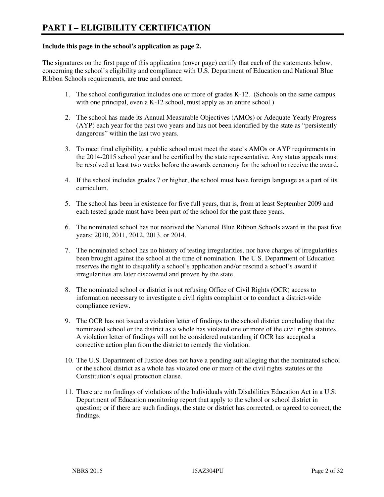#### **Include this page in the school's application as page 2.**

The signatures on the first page of this application (cover page) certify that each of the statements below, concerning the school's eligibility and compliance with U.S. Department of Education and National Blue Ribbon Schools requirements, are true and correct.

- 1. The school configuration includes one or more of grades K-12. (Schools on the same campus with one principal, even a K-12 school, must apply as an entire school.)
- 2. The school has made its Annual Measurable Objectives (AMOs) or Adequate Yearly Progress (AYP) each year for the past two years and has not been identified by the state as "persistently dangerous" within the last two years.
- 3. To meet final eligibility, a public school must meet the state's AMOs or AYP requirements in the 2014-2015 school year and be certified by the state representative. Any status appeals must be resolved at least two weeks before the awards ceremony for the school to receive the award.
- 4. If the school includes grades 7 or higher, the school must have foreign language as a part of its curriculum.
- 5. The school has been in existence for five full years, that is, from at least September 2009 and each tested grade must have been part of the school for the past three years.
- 6. The nominated school has not received the National Blue Ribbon Schools award in the past five years: 2010, 2011, 2012, 2013, or 2014.
- 7. The nominated school has no history of testing irregularities, nor have charges of irregularities been brought against the school at the time of nomination. The U.S. Department of Education reserves the right to disqualify a school's application and/or rescind a school's award if irregularities are later discovered and proven by the state.
- 8. The nominated school or district is not refusing Office of Civil Rights (OCR) access to information necessary to investigate a civil rights complaint or to conduct a district-wide compliance review.
- 9. The OCR has not issued a violation letter of findings to the school district concluding that the nominated school or the district as a whole has violated one or more of the civil rights statutes. A violation letter of findings will not be considered outstanding if OCR has accepted a corrective action plan from the district to remedy the violation.
- 10. The U.S. Department of Justice does not have a pending suit alleging that the nominated school or the school district as a whole has violated one or more of the civil rights statutes or the Constitution's equal protection clause.
- 11. There are no findings of violations of the Individuals with Disabilities Education Act in a U.S. Department of Education monitoring report that apply to the school or school district in question; or if there are such findings, the state or district has corrected, or agreed to correct, the findings.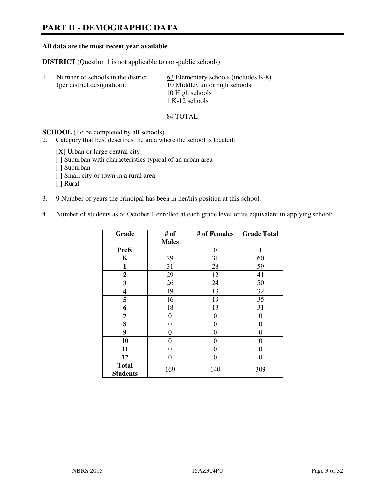# **PART II - DEMOGRAPHIC DATA**

#### **All data are the most recent year available.**

**DISTRICT** (Question 1 is not applicable to non-public schools)

| -1. | Number of schools in the district<br>(per district designation): | $63$ Elementary schools (includes K-8)<br>10 Middle/Junior high schools |
|-----|------------------------------------------------------------------|-------------------------------------------------------------------------|
|     |                                                                  | 10 High schools<br>1 K-12 schools                                       |

84 TOTAL

**SCHOOL** (To be completed by all schools)

- 2. Category that best describes the area where the school is located:
	- [X] Urban or large central city
	- [ ] Suburban with characteristics typical of an urban area
	- [ ] Suburban
	- [ ] Small city or town in a rural area
	- [ ] Rural
- 3. 9 Number of years the principal has been in her/his position at this school.
- 4. Number of students as of October 1 enrolled at each grade level or its equivalent in applying school:

| Grade                           | # of         | # of Females | <b>Grade Total</b> |
|---------------------------------|--------------|--------------|--------------------|
|                                 | <b>Males</b> |              |                    |
| <b>PreK</b>                     | 1            | $\theta$     | 1                  |
| K                               | 29           | 31           | 60                 |
| $\mathbf{1}$                    | 31           | 28           | 59                 |
| $\mathbf{2}$                    | 29           | 12           | 41                 |
| 3                               | 26           | 24           | 50                 |
| 4                               | 19           | 13           | 32                 |
| 5                               | 16           | 19           | 35                 |
| 6                               | 18           | 13           | 31                 |
| 7                               | 0            | 0            | 0                  |
| 8                               | $\theta$     | 0            | 0                  |
| 9                               | $\theta$     | $\theta$     | 0                  |
| 10                              | 0            | 0            | 0                  |
| 11                              | 0            | 0            | $\theta$           |
| 12                              | 0            | 0            | 0                  |
| <b>Total</b><br><b>Students</b> | 169          | 140          | 309                |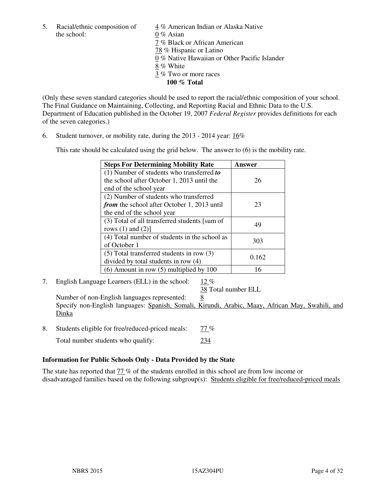the school: 0 % Asian

5. Racial/ethnic composition of 4 % American Indian or Alaska Native 7 % Black or African American 78 % Hispanic or Latino 0 % Native Hawaiian or Other Pacific Islander 8 % White 3 % Two or more races **100 % Total** 

(Only these seven standard categories should be used to report the racial/ethnic composition of your school. The Final Guidance on Maintaining, Collecting, and Reporting Racial and Ethnic Data to the U.S. Department of Education published in the October 19, 2007 *Federal Register* provides definitions for each of the seven categories.)

6. Student turnover, or mobility rate, during the 2013 - 2014 year: 16%

This rate should be calculated using the grid below. The answer to (6) is the mobility rate.

| <b>Steps For Determining Mobility Rate</b>         | Answer |
|----------------------------------------------------|--------|
| $(1)$ Number of students who transferred to        |        |
| the school after October 1, 2013 until the         | 26     |
| end of the school year                             |        |
| (2) Number of students who transferred             |        |
| <i>from</i> the school after October 1, 2013 until | 23     |
| the end of the school year                         |        |
| (3) Total of all transferred students [sum of      | 49     |
| rows $(1)$ and $(2)$ ]                             |        |
| (4) Total number of students in the school as      | 303    |
| of October 1                                       |        |
| $(5)$ Total transferred students in row $(3)$      | 0.162  |
| divided by total students in row (4)               |        |
| $(6)$ Amount in row $(5)$ multiplied by 100        | 16     |

7. English Language Learners (ELL) in the school: 12 %

38 Total number ELL

Number of non-English languages represented: 8 Specify non-English languages: Spanish, Somali, Kirundi, Arabic, Maay, African May, Swahili, and Dinka

- 8. Students eligible for free/reduced-priced meals: 77 %
	- Total number students who qualify: 234

#### **Information for Public Schools Only - Data Provided by the State**

The state has reported that  $\frac{77}{6}$  of the students enrolled in this school are from low income or disadvantaged families based on the following subgroup(s): Students eligible for free/reduced-priced meals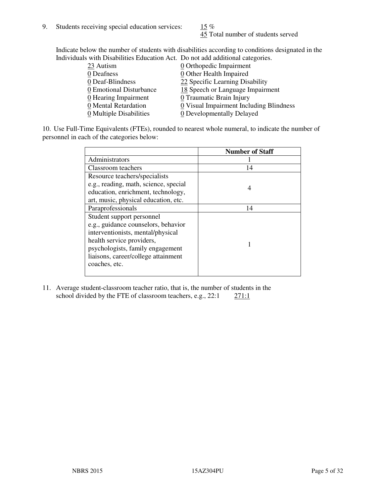45 Total number of students served

Indicate below the number of students with disabilities according to conditions designated in the Individuals with Disabilities Education Act. Do not add additional categories.

| <u>marritano with Disachitity Buatanon ritti Do not auu auunchai talegorito.</u> |                                         |
|----------------------------------------------------------------------------------|-----------------------------------------|
| 23 Autism                                                                        | $\underline{0}$ Orthopedic Impairment   |
| 0 Deafness                                                                       | 0 Other Health Impaired                 |
| 0 Deaf-Blindness                                                                 | 22 Specific Learning Disability         |
| 0 Emotional Disturbance                                                          | 18 Speech or Language Impairment        |
| 0 Hearing Impairment                                                             | 0 Traumatic Brain Injury                |
| 0 Mental Retardation                                                             | 0 Visual Impairment Including Blindness |
| 0 Multiple Disabilities                                                          | 0 Developmentally Delayed               |
|                                                                                  |                                         |

10. Use Full-Time Equivalents (FTEs), rounded to nearest whole numeral, to indicate the number of personnel in each of the categories below:

|                                       | <b>Number of Staff</b> |
|---------------------------------------|------------------------|
| Administrators                        |                        |
| Classroom teachers                    | 14                     |
| Resource teachers/specialists         |                        |
| e.g., reading, math, science, special | 4                      |
| education, enrichment, technology,    |                        |
| art, music, physical education, etc.  |                        |
| Paraprofessionals                     | 14                     |
| Student support personnel             |                        |
| e.g., guidance counselors, behavior   |                        |
| interventionists, mental/physical     |                        |
| health service providers,             |                        |
| psychologists, family engagement      |                        |
| liaisons, career/college attainment   |                        |
| coaches, etc.                         |                        |
|                                       |                        |

11. Average student-classroom teacher ratio, that is, the number of students in the school divided by the FTE of classroom teachers, e.g.,  $22:1$   $271:1$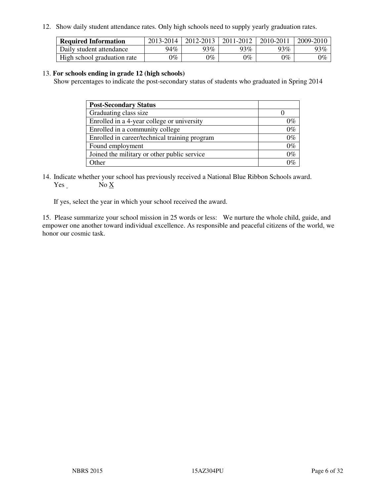12. Show daily student attendance rates. Only high schools need to supply yearly graduation rates.

| <b>Required Information</b> | 2013-2014 | 2012-2013 | 2011-2012 | 2010-2011 | 2009-2010 |
|-----------------------------|-----------|-----------|-----------|-----------|-----------|
| Daily student attendance    | 94%       | 93%       | $93\%$    | 93%       | 93%       |
| High school graduation rate | 9%        | $0\%$     | $0\%$     | 0%        | $0\%$     |

#### 13. **For schools ending in grade 12 (high schools)**

Show percentages to indicate the post-secondary status of students who graduated in Spring 2014

| <b>Post-Secondary Status</b>                  |       |
|-----------------------------------------------|-------|
| Graduating class size                         |       |
| Enrolled in a 4-year college or university    | በ‰    |
| Enrolled in a community college               | $0\%$ |
| Enrolled in career/technical training program | $0\%$ |
| Found employment                              | $0\%$ |
| Joined the military or other public service   | 0%    |
| Other                                         |       |

14. Indicate whether your school has previously received a National Blue Ribbon Schools award. Yes No X

If yes, select the year in which your school received the award.

15. Please summarize your school mission in 25 words or less: We nurture the whole child, guide, and empower one another toward individual excellence. As responsible and peaceful citizens of the world, we honor our cosmic task.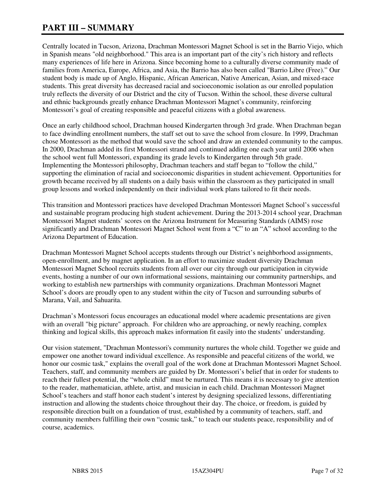# **PART III – SUMMARY**

Centrally located in Tucson, Arizona, Drachman Montessori Magnet School is set in the Barrio Viejo, which in Spanish means "old neighborhood." This area is an important part of the city's rich history and reflects many experiences of life here in Arizona. Since becoming home to a culturally diverse community made of families from America, Europe, Africa, and Asia, the Barrio has also been called "Barrio Libre (Free)." Our student body is made up of Anglo, Hispanic, African American, Native American, Asian, and mixed-race students. This great diversity has decreased racial and socioeconomic isolation as our enrolled population truly reflects the diversity of our District and the city of Tucson. Within the school, these diverse cultural and ethnic backgrounds greatly enhance Drachman Montessori Magnet's community, reinforcing Montessori's goal of creating responsible and peaceful citizens with a global awareness.

Once an early childhood school, Drachman housed Kindergarten through 3rd grade. When Drachman began to face dwindling enrollment numbers, the staff set out to save the school from closure. In 1999, Drachman chose Montessori as the method that would save the school and draw an extended community to the campus. In 2000, Drachman added its first Montessori strand and continued adding one each year until 2006 when the school went full Montessori, expanding its grade levels to Kindergarten through 5th grade. Implementing the Montessori philosophy, Drachman teachers and staff began to "follow the child," supporting the elimination of racial and socioeconomic disparities in student achievement. Opportunities for growth became received by all students on a daily basis within the classroom as they participated in small group lessons and worked independently on their individual work plans tailored to fit their needs.

This transition and Montessori practices have developed Drachman Montessori Magnet School's successful and sustainable program producing high student achievement. During the 2013-2014 school year, Drachman Montessori Magnet students' scores on the Arizona Instrument for Measuring Standards (AIMS) rose significantly and Drachman Montessori Magnet School went from a "C" to an "A" school according to the Arizona Department of Education.

Drachman Montessori Magnet School accepts students through our District's neighborhood assignments, open-enrollment, and by magnet application. In an effort to maximize student diversity Drachman Montessori Magnet School recruits students from all over our city through our participation in citywide events, hosting a number of our own informational sessions, maintaining our community partnerships, and working to establish new partnerships with community organizations. Drachman Montessori Magnet School's doors are proudly open to any student within the city of Tucson and surrounding suburbs of Marana, Vail, and Sahuarita.

Drachman's Montessori focus encourages an educational model where academic presentations are given with an overall "big picture" approach. For children who are approaching, or newly reaching, complex thinking and logical skills, this approach makes information fit easily into the students' understanding.

Our vision statement, "Drachman Montessori's community nurtures the whole child. Together we guide and empower one another toward individual excellence. As responsible and peaceful citizens of the world, we honor our cosmic task," explains the overall goal of the work done at Drachman Montessori Magnet School. Teachers, staff, and community members are guided by Dr. Montessori's belief that in order for students to reach their fullest potential, the "whole child" must be nurtured. This means it is necessary to give attention to the reader, mathematician, athlete, artist, and musician in each child. Drachman Montessori Magnet School's teachers and staff honor each student's interest by designing specialized lessons, differentiating instruction and allowing the students choice throughout their day. The choice, or freedom, is guided by responsible direction built on a foundation of trust, established by a community of teachers, staff, and community members fulfilling their own "cosmic task," to teach our students peace, responsibility and of course, academics.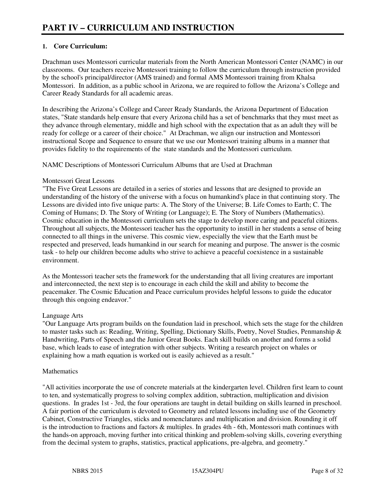## **1. Core Curriculum:**

Drachman uses Montessori curricular materials from the North American Montessori Center (NAMC) in our classrooms. Our teachers receive Montessori training to follow the curriculum through instruction provided by the school's principal/director (AMS trained) and formal AMS Montessori training from Khalsa Montessori. In addition, as a public school in Arizona, we are required to follow the Arizona's College and Career Ready Standards for all academic areas.

In describing the Arizona's College and Career Ready Standards, the Arizona Department of Education states, "State standards help ensure that every Arizona child has a set of benchmarks that they must meet as they advance through elementary, middle and high school with the expectation that as an adult they will be ready for college or a career of their choice." At Drachman, we align our instruction and Montessori instructional Scope and Sequence to ensure that we use our Montessori training albums in a manner that provides fidelity to the requirements of the state standards and the Montessori curriculum.

NAMC Descriptions of Montessori Curriculum Albums that are Used at Drachman

#### Montessori Great Lessons

"The Five Great Lessons are detailed in a series of stories and lessons that are designed to provide an understanding of the history of the universe with a focus on humankind's place in that continuing story. The Lessons are divided into five unique parts: A. The Story of the Universe; B. Life Comes to Earth; C. The Coming of Humans; D. The Story of Writing (or Language); E. The Story of Numbers (Mathematics). Cosmic education in the Montessori curriculum sets the stage to develop more caring and peaceful citizens. Throughout all subjects, the Montessori teacher has the opportunity to instill in her students a sense of being connected to all things in the universe. This cosmic view, especially the view that the Earth must be respected and preserved, leads humankind in our search for meaning and purpose. The answer is the cosmic task - to help our children become adults who strive to achieve a peaceful coexistence in a sustainable environment.

As the Montessori teacher sets the framework for the understanding that all living creatures are important and interconnected, the next step is to encourage in each child the skill and ability to become the peacemaker. The Cosmic Education and Peace curriculum provides helpful lessons to guide the educator through this ongoing endeavor."

# Language Arts

"Our Language Arts program builds on the foundation laid in preschool, which sets the stage for the children to master tasks such as: Reading, Writing, Spelling, Dictionary Skills, Poetry, Novel Studies, Penmanship & Handwriting, Parts of Speech and the Junior Great Books. Each skill builds on another and forms a solid base, which leads to ease of integration with other subjects. Writing a research project on whales or explaining how a math equation is worked out is easily achieved as a result."

#### **Mathematics**

"All activities incorporate the use of concrete materials at the kindergarten level. Children first learn to count to ten, and systematically progress to solving complex addition, subtraction, multiplication and division questions. In grades 1st - 3rd, the four operations are taught in detail building on skills learned in preschool. A fair portion of the curriculum is devoted to Geometry and related lessons including use of the Geometry Cabinet, Constructive Triangles, sticks and nomenclatures and multiplication and division. Rounding it off is the introduction to fractions and factors & multiples. In grades 4th - 6th, Montessori math continues with the hands-on approach, moving further into critical thinking and problem-solving skills, covering everything from the decimal system to graphs, statistics, practical applications, pre-algebra, and geometry."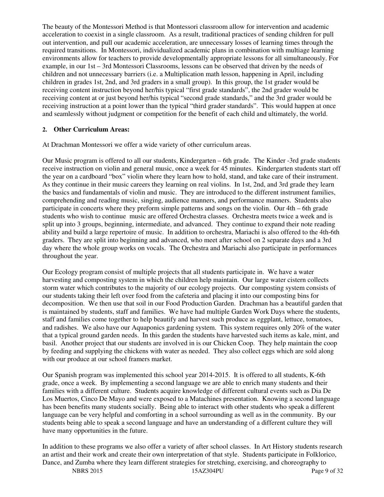The beauty of the Montessori Method is that Montessori classroom allow for intervention and academic acceleration to coexist in a single classroom. As a result, traditional practices of sending children for pull out intervention, and pull our academic acceleration, are unnecessary losses of learning times through the required transitions. In Montessori, individualized academic plans in combination with multiage learning environments allow for teachers to provide developmentally appropriate lessons for all simultaneously. For example, in our 1st – 3rd Montessori Classrooms, lessons can be observed that driven by the needs of children and not unnecessary barriers (i.e. a Multiplication math lesson, happening in April, including children in grades 1st, 2nd, and 3rd graders in a small group). In this group, the 1st grader would be receiving content instruction beyond her/his typical "first grade standards", the 2nd grader would be receiving content at or just beyond her/his typical "second grade standards," and the 3rd grader would be receiving instruction at a point lower than the typical "third grader standards". This would happen at once and seamlessly without judgment or competition for the benefit of each child and ultimately, the world.

#### **2. Other Curriculum Areas:**

At Drachman Montessori we offer a wide variety of other curriculum areas.

Our Music program is offered to all our students, Kindergarten – 6th grade. The Kinder -3rd grade students receive instruction on violin and general music, once a week for 45 minutes. Kindergarten students start off the year on a cardboard "box" violin where they learn how to hold, stand, and take care of their instrument. As they continue in their music careers they learning on real violins. In 1st, 2nd, and 3rd grade they learn the basics and fundamentals of violin and music. They are introduced to the different instrument families, comprehending and reading music, singing, audience manners, and performance manners. Students also participate in concerts where they preform simple patterns and songs on the violin. Our 4th – 6th grade students who wish to continue music are offered Orchestra classes. Orchestra meets twice a week and is split up into 3 groups, beginning, intermediate, and advanced. They continue to expand their note reading ability and build a large repertoire of music. In addition to orchestra, Mariachi is also offered to the 4th-6th graders. They are split into beginning and advanced, who meet after school on 2 separate days and a 3rd day where the whole group works on vocals. The Orchestra and Mariachi also participate in performances throughout the year.

Our Ecology program consist of multiple projects that all students participate in. We have a water harvesting and composting system in which the children help maintain. Our large water cistern collects storm water which contributes to the majority of our ecology projects. Our composting system consists of our students taking their left over food from the cafeteria and placing it into our composting bins for decomposition. We then use that soil in our Food Production Garden. Drachman has a beautiful garden that is maintained by students, staff and families. We have had multiple Garden Work Days where the students, staff and families come together to help beautify and harvest such produce as eggplant, lettuce, tomatoes, and radishes. We also have our Aquaponics gardening system. This system requires only 20% of the water that a typical ground garden needs. In this garden the students have harvested such items as kale, mint, and basil. Another project that our students are involved in is our Chicken Coop. They help maintain the coop by feeding and supplying the chickens with water as needed. They also collect eggs which are sold along with our produce at our school framers market.

Our Spanish program was implemented this school year 2014-2015. It is offered to all students, K-6th grade, once a week. By implementing a second language we are able to enrich many students and their families with a different culture. Students acquire knowledge of different cultural events such as Dia De Los Muertos, Cinco De Mayo and were exposed to a Matachines presentation. Knowing a second language has been benefits many students socially. Being able to interact with other students who speak a different language can be very helpful and comforting in a school surrounding as well as in the community. By our students being able to speak a second language and have an understanding of a different culture they will have many opportunities in the future.

In addition to these programs we also offer a variety of after school classes. In Art History students research an artist and their work and create their own interpretation of that style. Students participate in Folklorico, Dance, and Zumba where they learn different strategies for stretching, exercising, and choreography to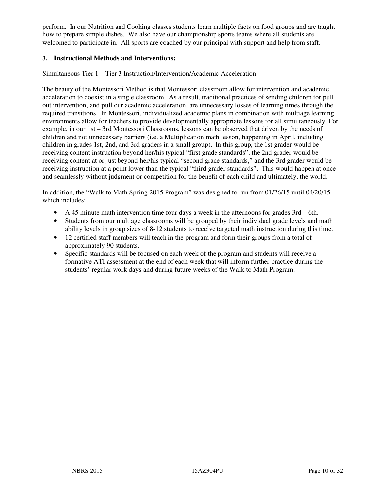perform. In our Nutrition and Cooking classes students learn multiple facts on food groups and are taught how to prepare simple dishes. We also have our championship sports teams where all students are welcomed to participate in. All sports are coached by our principal with support and help from staff.

#### **3. Instructional Methods and Interventions:**

Simultaneous Tier 1 – Tier 3 Instruction/Intervention/Academic Acceleration

The beauty of the Montessori Method is that Montessori classroom allow for intervention and academic acceleration to coexist in a single classroom. As a result, traditional practices of sending children for pull out intervention, and pull our academic acceleration, are unnecessary losses of learning times through the required transitions. In Montessori, individualized academic plans in combination with multiage learning environments allow for teachers to provide developmentally appropriate lessons for all simultaneously. For example, in our 1st – 3rd Montessori Classrooms, lessons can be observed that driven by the needs of children and not unnecessary barriers (i.e. a Multiplication math lesson, happening in April, including children in grades 1st, 2nd, and 3rd graders in a small group). In this group, the 1st grader would be receiving content instruction beyond her/his typical "first grade standards", the 2nd grader would be receiving content at or just beyond her/his typical "second grade standards," and the 3rd grader would be receiving instruction at a point lower than the typical "third grader standards". This would happen at once and seamlessly without judgment or competition for the benefit of each child and ultimately, the world.

In addition, the "Walk to Math Spring 2015 Program" was designed to run from 01/26/15 until 04/20/15 which includes:

- A 45 minute math intervention time four days a week in the afternoons for grades 3rd 6th.
- Students from our multiage classrooms will be grouped by their individual grade levels and math ability levels in group sizes of 8-12 students to receive targeted math instruction during this time.
- 12 certified staff members will teach in the program and form their groups from a total of approximately 90 students.
- Specific standards will be focused on each week of the program and students will receive a formative ATI assessment at the end of each week that will inform further practice during the students' regular work days and during future weeks of the Walk to Math Program.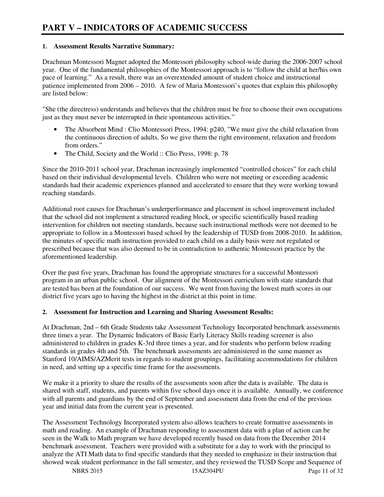# **1. Assessment Results Narrative Summary:**

Drachman Montessori Magnet adopted the Montessori philosophy school-wide during the 2006-2007 school year. One of the fundamental philosophies of the Montessori approach is to "follow the child at her/his own pace of learning." As a result, there was an overextended amount of student choice and instructional patience implemented from 2006 – 2010. A few of Maria Montessori's quotes that explain this philosophy are listed below:

"She (the directress) understands and believes that the children must be free to choose their own occupations just as they must never be interrupted in their spontaneous activities."

- The Absorbent Mind : Clio Montessori Press, 1994: p240, "We must give the child relaxation from the continuous direction of adults. So we give them the right environment, relaxation and freedom from orders."
- The Child, Society and the World :: Clio Press, 1998: p. 78

Since the 2010-2011 school year, Drachman increasingly implemented "controlled choices" for each child based on their individual developmental levels. Children who were not meeting or exceeding academic standards had their academic experiences planned and accelerated to ensure that they were working toward reaching standards.

Additional root causes for Drachman's underperformance and placement in school improvement included that the school did not implement a structured reading block, or specific scientifically based reading intervention for children not meeting standards, because such instructional methods were not deemed to be appropriate to follow in a Montessori based school by the leadership of TUSD from 2008-2010. In addition, the minutes of specific math instruction provided to each child on a daily basis were not regulated or prescribed because that was also deemed to be in contradiction to authentic Montessori practice by the aforementioned leadership.

Over the past five years, Drachman has found the appropriate structures for a successful Montessori program in an urban public school. Our alignment of the Montessori curriculum with state standards that are tested has been at the foundation of our success. We went from having the lowest math scores in our district five years ago to having the highest in the district at this point in time.

# **2. Assessment for Instruction and Learning and Sharing Assessment Results:**

At Drachman, 2nd – 6th Grade Students take Assessment Technology Incorporated benchmark assessments three times a year. The Dynamic Indicators of Basic Early Literacy Skills reading screener is also administered to children in grades K-3rd three times a year, and for students who perform below reading standards in grades 4th and 5th. The benchmark assessments are administered in the same manner as Stanford 10/AIMS/AZMerit tests in regards to student groupings, facilitating accommodations for children in need, and setting up a specific time frame for the assessments.

We make it a priority to share the results of the assessments soon after the data is available. The data is shared with staff, students, and parents within five school days once it is available. Annually, we conference with all parents and guardians by the end of September and assessment data from the end of the previous year and initial data from the current year is presented.

The Assessment Technology Incorporated system also allows teachers to create formative assessments in math and reading. An example of Drachman responding to assessment data with a plan of action can be seen in the Walk to Math program we have developed recently based on data from the December 2014 benchmark assessment. Teachers were provided with a substitute for a day to work with the principal to analyze the ATI Math data to find specific standards that they needed to emphasize in their instruction that showed weak student performance in the fall semester, and they reviewed the TUSD Scope and Sequence of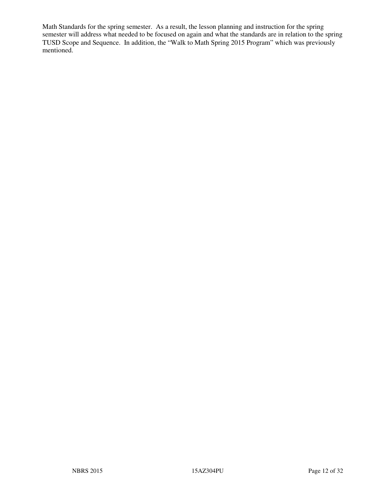Math Standards for the spring semester. As a result, the lesson planning and instruction for the spring semester will address what needed to be focused on again and what the standards are in relation to the spring TUSD Scope and Sequence. In addition, the "Walk to Math Spring 2015 Program" which was previously mentioned.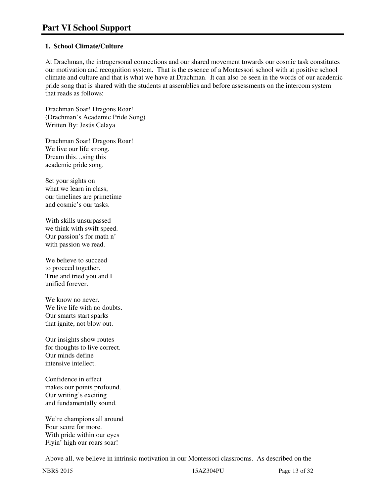## **1. School Climate/Culture**

At Drachman, the intrapersonal connections and our shared movement towards our cosmic task constitutes our motivation and recognition system. That is the essence of a Montessori school with at positive school climate and culture and that is what we have at Drachman. It can also be seen in the words of our academic pride song that is shared with the students at assemblies and before assessments on the intercom system that reads as follows:

Drachman Soar! Dragons Roar! (Drachman's Academic Pride Song) Written By: Jesús Celaya

Drachman Soar! Dragons Roar! We live our life strong. Dream this…sing this academic pride song.

Set your sights on what we learn in class, our timelines are primetime and cosmic's our tasks.

With skills unsurpassed we think with swift speed. Our passion's for math n' with passion we read.

We believe to succeed to proceed together. True and tried you and I unified forever.

We know no never. We live life with no doubts. Our smarts start sparks that ignite, not blow out.

Our insights show routes for thoughts to live correct. Our minds define intensive intellect.

Confidence in effect makes our points profound. Our writing's exciting and fundamentally sound.

We're champions all around Four score for more. With pride within our eyes Flyin' high our roars soar!

Above all, we believe in intrinsic motivation in our Montessori classrooms. As described on the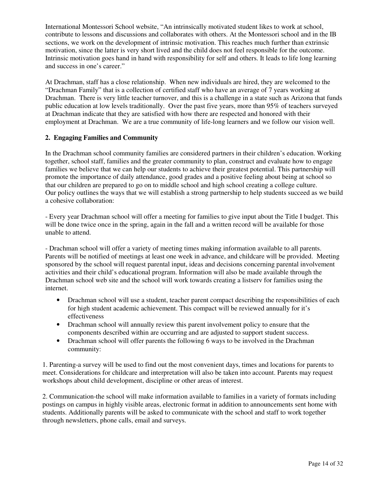International Montessori School website, "An intrinsically motivated student likes to work at school, contribute to lessons and discussions and collaborates with others. At the Montessori school and in the IB sections, we work on the development of intrinsic motivation. This reaches much further than extrinsic motivation, since the latter is very short lived and the child does not feel responsible for the outcome. Intrinsic motivation goes hand in hand with responsibility for self and others. It leads to life long learning and success in one's career."

At Drachman, staff has a close relationship. When new individuals are hired, they are welcomed to the "Drachman Family" that is a collection of certified staff who have an average of 7 years working at Drachman. There is very little teacher turnover, and this is a challenge in a state such as Arizona that funds public education at low levels traditionally. Over the past five years, more than 95% of teachers surveyed at Drachman indicate that they are satisfied with how there are respected and honored with their employment at Drachman. We are a true community of life-long learners and we follow our vision well.

#### **2. Engaging Families and Community**

In the Drachman school community families are considered partners in their children's education. Working together, school staff, families and the greater community to plan, construct and evaluate how to engage families we believe that we can help our students to achieve their greatest potential. This partnership will promote the importance of daily attendance, good grades and a positive feeling about being at school so that our children are prepared to go on to middle school and high school creating a college culture. Our policy outlines the ways that we will establish a strong partnership to help students succeed as we build a cohesive collaboration:

- Every year Drachman school will offer a meeting for families to give input about the Title I budget. This will be done twice once in the spring, again in the fall and a written record will be available for those unable to attend.

- Drachman school will offer a variety of meeting times making information available to all parents. Parents will be notified of meetings at least one week in advance, and childcare will be provided. Meeting sponsored by the school will request parental input, ideas and decisions concerning parental involvement activities and their child's educational program. Information will also be made available through the Drachman school web site and the school will work towards creating a listserv for families using the internet.

- Drachman school will use a student, teacher parent compact describing the responsibilities of each for high student academic achievement. This compact will be reviewed annually for it's effectiveness
- Drachman school will annually review this parent involvement policy to ensure that the components described within are occurring and are adjusted to support student success.
- Drachman school will offer parents the following 6 ways to be involved in the Drachman community:

1. Parenting-a survey will be used to find out the most convenient days, times and locations for parents to meet. Considerations for childcare and interpretation will also be taken into account. Parents may request workshops about child development, discipline or other areas of interest.

2. Communication-the school will make information available to families in a variety of formats including postings on campus in highly visible areas, electronic format in addition to announcements sent home with students. Additionally parents will be asked to communicate with the school and staff to work together through newsletters, phone calls, email and surveys.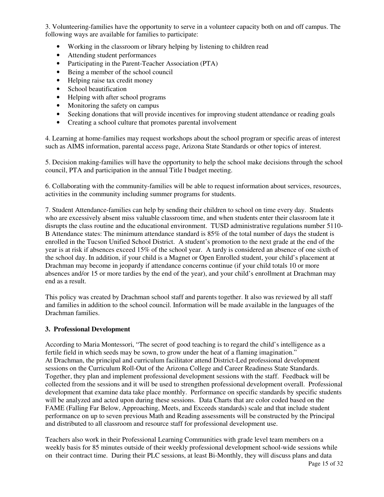3. Volunteering-families have the opportunity to serve in a volunteer capacity both on and off campus. The following ways are available for families to participate:

- Working in the classroom or library helping by listening to children read
- Attending student performances
- Participating in the Parent-Teacher Association (PTA)
- Being a member of the school council
- Helping raise tax credit money
- School beautification
- Helping with after school programs
- Monitoring the safety on campus
- Seeking donations that will provide incentives for improving student attendance or reading goals
- Creating a school culture that promotes parental involvement

4. Learning at home-families may request workshops about the school program or specific areas of interest such as AIMS information, parental access page, Arizona State Standards or other topics of interest.

5. Decision making-families will have the opportunity to help the school make decisions through the school council, PTA and participation in the annual Title I budget meeting.

6. Collaborating with the community-families will be able to request information about services, resources, activities in the community including summer programs for students.

7. Student Attendance-families can help by sending their children to school on time every day. Students who are excessively absent miss valuable classroom time, and when students enter their classroom late it disrupts the class routine and the educational environment. TUSD administrative regulations number 5110- B Attendance states: The minimum attendance standard is 85% of the total number of days the student is enrolled in the Tucson Unified School District. A student's promotion to the next grade at the end of the year is at risk if absences exceed 15% of the school year. A tardy is considered an absence of one sixth of the school day. In addition, if your child is a Magnet or Open Enrolled student, your child's placement at Drachman may become in jeopardy if attendance concerns continue (if your child totals 10 or more absences and/or 15 or more tardies by the end of the year), and your child's enrollment at Drachman may end as a result.

This policy was created by Drachman school staff and parents together. It also was reviewed by all staff and families in addition to the school council. Information will be made available in the languages of the Drachman families.

# **3. Professional Development**

According to Maria Montessori, "The secret of good teaching is to regard the child's intelligence as a fertile field in which seeds may be sown, to grow under the heat of a flaming imagination." At Drachman, the principal and curriculum facilitator attend District-Led professional development sessions on the Curriculum Roll-Out of the Arizona College and Career Readiness State Standards. Together, they plan and implement professional development sessions with the staff. Feedback will be collected from the sessions and it will be used to strengthen professional development overall. Professional development that examine data take place monthly. Performance on specific standards by specific students will be analyzed and acted upon during these sessions. Data Charts that are color coded based on the FAME (Falling Far Below, Approaching, Meets, and Exceeds standards) scale and that include student performance on up to seven previous Math and Reading assessments will be constructed by the Principal and distributed to all classroom and resource staff for professional development use.

Teachers also work in their Professional Learning Communities with grade level team members on a weekly basis for 85 minutes outside of their weekly professional development school-wide sessions while on their contract time. During their PLC sessions, at least Bi-Monthly, they will discuss plans and data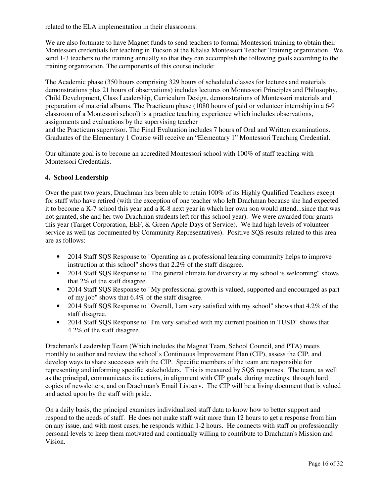related to the ELA implementation in their classrooms.

We are also fortunate to have Magnet funds to send teachers to formal Montessori training to obtain their Montessori credentials for teaching in Tucson at the Khalsa Montessori Teacher Training organization. We send 1-3 teachers to the training annually so that they can accomplish the following goals according to the training organization, The components of this course include:

The Academic phase (350 hours comprising 329 hours of scheduled classes for lectures and materials demonstrations plus 21 hours of observations) includes lectures on Montessori Principles and Philosophy, Child Development, Class Leadership, Curriculum Design, demonstrations of Montessori materials and preparation of material albums. The Practicum phase (1080 hours of paid or volunteer internship in a 6-9 classroom of a Montessori school) is a practice teaching experience which includes observations, assignments and evaluations by the supervising teacher

and the Practicum supervisor. The Final Evaluation includes 7 hours of Oral and Written examinations. Graduates of the Elementary 1 Course will receive an "Elementary 1" Montessori Teaching Credential.

Our ultimate goal is to become an accredited Montessori school with 100% of staff teaching with Montessori Credentials.

#### **4. School Leadership**

Over the past two years, Drachman has been able to retain 100% of its Highly Qualified Teachers except for staff who have retired (with the exception of one teacher who left Drachman because she had expected it to become a K-7 school this year and a K-8 next year in which her own son would attend...since that was not granted, she and her two Drachman students left for this school year). We were awarded four grants this year (Target Corporation, EEF, & Green Apple Days of Service). We had high levels of volunteer service as well (as documented by Community Representatives). Positive SQS results related to this area are as follows:

- 2014 Staff SOS Response to "Operating as a professional learning community helps to improve instruction at this school" shows that 2.2% of the staff disagree.
- 2014 Staff SOS Response to "The general climate for diversity at my school is welcoming" shows that 2% of the staff disagree.
- 2014 Staff SOS Response to "My professional growth is valued, supported and encouraged as part of my job" shows that 6.4% of the staff disagree.
- 2014 Staff SOS Response to "Overall, I am very satisfied with my school" shows that 4.2% of the staff disagree.
- 2014 Staff SQS Response to "I'm very satisfied with my current position in TUSD" shows that 4.2% of the staff disagree.

Drachman's Leadership Team (Which includes the Magnet Team, School Council, and PTA) meets monthly to author and review the school's Continuous Improvement Plan (CIP), assess the CIP, and develop ways to share successes with the CIP. Specific members of the team are responsible for representing and informing specific stakeholders. This is measured by SQS responses. The team, as well as the principal, communicates its actions, in alignment with CIP goals, during meetings, through hard copies of newsletters, and on Drachman's Email Listserv. The CIP will be a living document that is valued and acted upon by the staff with pride.

On a daily basis, the principal examines individualized staff data to know how to better support and respond to the needs of staff. He does not make staff wait more than 12 hours to get a response from him on any issue, and with most cases, he responds within 1-2 hours. He connects with staff on professionally personal levels to keep them motivated and continually willing to contribute to Drachman's Mission and Vision.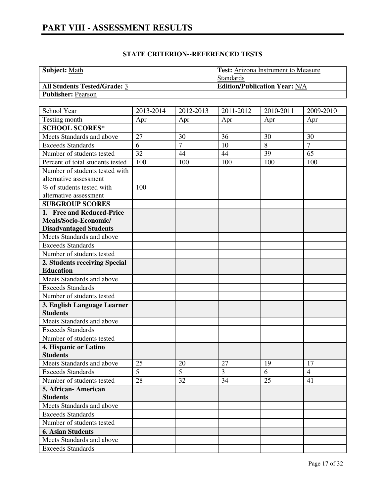| <b>Subject:</b> Math                | <b>Test:</b> Arizona Instrument to Measure |
|-------------------------------------|--------------------------------------------|
|                                     | Standards                                  |
| <b>All Students Tested/Grade: 3</b> | <b>Edition/Publication Year: N/A</b>       |
| <b>Publisher: Pearson</b>           |                                            |

| School Year                      | 2013-2014 | 2012-2013      | 2011-2012 | 2010-2011 | 2009-2010      |
|----------------------------------|-----------|----------------|-----------|-----------|----------------|
| Testing month                    | Apr       | Apr            | Apr       | Apr       | Apr            |
| <b>SCHOOL SCORES*</b>            |           |                |           |           |                |
| Meets Standards and above        | 27        | 30             | 36        | 30        | 30             |
| <b>Exceeds Standards</b>         | 6         | $\overline{7}$ | 10        | 8         | $\overline{7}$ |
| Number of students tested        | 32        | 44             | 44        | 39        | 65             |
| Percent of total students tested | 100       | 100            | 100       | 100       | 100            |
| Number of students tested with   |           |                |           |           |                |
| alternative assessment           |           |                |           |           |                |
| % of students tested with        | 100       |                |           |           |                |
| alternative assessment           |           |                |           |           |                |
| <b>SUBGROUP SCORES</b>           |           |                |           |           |                |
| 1. Free and Reduced-Price        |           |                |           |           |                |
| Meals/Socio-Economic/            |           |                |           |           |                |
| <b>Disadvantaged Students</b>    |           |                |           |           |                |
| Meets Standards and above        |           |                |           |           |                |
| <b>Exceeds Standards</b>         |           |                |           |           |                |
| Number of students tested        |           |                |           |           |                |
| 2. Students receiving Special    |           |                |           |           |                |
| <b>Education</b>                 |           |                |           |           |                |
| Meets Standards and above        |           |                |           |           |                |
| <b>Exceeds Standards</b>         |           |                |           |           |                |
| Number of students tested        |           |                |           |           |                |
| 3. English Language Learner      |           |                |           |           |                |
| <b>Students</b>                  |           |                |           |           |                |
| Meets Standards and above        |           |                |           |           |                |
| <b>Exceeds Standards</b>         |           |                |           |           |                |
| Number of students tested        |           |                |           |           |                |
| 4. Hispanic or Latino            |           |                |           |           |                |
| <b>Students</b>                  |           |                |           |           |                |
| Meets Standards and above        | 25        | 20             | 27        | 19        | 17             |
| <b>Exceeds Standards</b>         | 5         | 5              | 3         | 6         | $\overline{4}$ |
| Number of students tested        | 28        | 32             | 34        | 25        | 41             |
| 5. African-American              |           |                |           |           |                |
| <b>Students</b>                  |           |                |           |           |                |
| Meets Standards and above        |           |                |           |           |                |
| <b>Exceeds Standards</b>         |           |                |           |           |                |
| Number of students tested        |           |                |           |           |                |
| <b>6. Asian Students</b>         |           |                |           |           |                |
| Meets Standards and above        |           |                |           |           |                |
| <b>Exceeds Standards</b>         |           |                |           |           |                |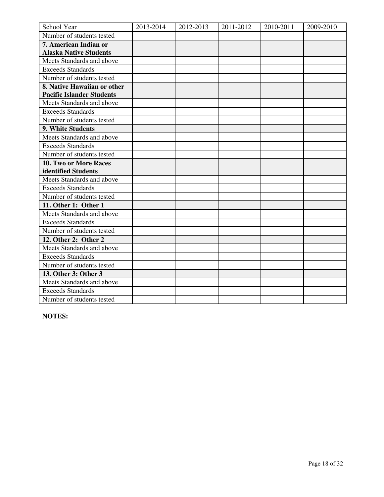| School Year                      | 2013-2014 | 2012-2013 | 2011-2012 | 2010-2011 | 2009-2010 |
|----------------------------------|-----------|-----------|-----------|-----------|-----------|
| Number of students tested        |           |           |           |           |           |
| 7. American Indian or            |           |           |           |           |           |
| <b>Alaska Native Students</b>    |           |           |           |           |           |
| Meets Standards and above        |           |           |           |           |           |
| <b>Exceeds Standards</b>         |           |           |           |           |           |
| Number of students tested        |           |           |           |           |           |
| 8. Native Hawaiian or other      |           |           |           |           |           |
| <b>Pacific Islander Students</b> |           |           |           |           |           |
| Meets Standards and above        |           |           |           |           |           |
| <b>Exceeds Standards</b>         |           |           |           |           |           |
| Number of students tested        |           |           |           |           |           |
| 9. White Students                |           |           |           |           |           |
| Meets Standards and above        |           |           |           |           |           |
| <b>Exceeds Standards</b>         |           |           |           |           |           |
| Number of students tested        |           |           |           |           |           |
| 10. Two or More Races            |           |           |           |           |           |
| identified Students              |           |           |           |           |           |
| Meets Standards and above        |           |           |           |           |           |
| <b>Exceeds Standards</b>         |           |           |           |           |           |
| Number of students tested        |           |           |           |           |           |
| 11. Other 1: Other 1             |           |           |           |           |           |
| Meets Standards and above        |           |           |           |           |           |
| <b>Exceeds Standards</b>         |           |           |           |           |           |
| Number of students tested        |           |           |           |           |           |
| 12. Other 2: Other 2             |           |           |           |           |           |
| Meets Standards and above        |           |           |           |           |           |
| <b>Exceeds Standards</b>         |           |           |           |           |           |
| Number of students tested        |           |           |           |           |           |
| 13. Other 3: Other 3             |           |           |           |           |           |
| Meets Standards and above        |           |           |           |           |           |
| <b>Exceeds Standards</b>         |           |           |           |           |           |
| Number of students tested        |           |           |           |           |           |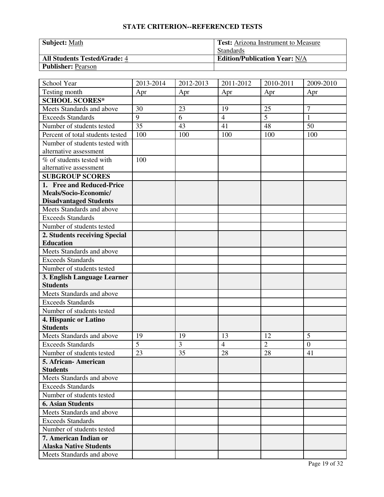| <b>Subject: Math</b>                | <b>Test:</b> Arizona Instrument to Measure |
|-------------------------------------|--------------------------------------------|
|                                     | Standards                                  |
| <b>All Students Tested/Grade: 4</b> | <b>Edition/Publication Year: N/A</b>       |
| <b>Publisher: Pearson</b>           |                                            |

| School Year                                            | 2013-2014      | 2012-2013 | 2011-2012      | 2010-2011      | 2009-2010        |
|--------------------------------------------------------|----------------|-----------|----------------|----------------|------------------|
| Testing month                                          | Apr            | Apr       | Apr            | Apr            | Apr              |
| <b>SCHOOL SCORES*</b>                                  |                |           |                |                |                  |
| Meets Standards and above                              | 30             | 23        | 19             | 25             | 7                |
| <b>Exceeds Standards</b>                               | 9              | 6         | $\overline{4}$ | $\overline{5}$ | $\mathbf{1}$     |
| Number of students tested                              | 35             | 43        | 41             | 48             | 50               |
| Percent of total students tested                       | 100            | 100       | 100            | 100            | 100              |
| Number of students tested with                         |                |           |                |                |                  |
| alternative assessment                                 |                |           |                |                |                  |
| % of students tested with                              | 100            |           |                |                |                  |
| alternative assessment                                 |                |           |                |                |                  |
| <b>SUBGROUP SCORES</b>                                 |                |           |                |                |                  |
| 1. Free and Reduced-Price                              |                |           |                |                |                  |
| Meals/Socio-Economic/                                  |                |           |                |                |                  |
| <b>Disadvantaged Students</b>                          |                |           |                |                |                  |
| Meets Standards and above                              |                |           |                |                |                  |
| <b>Exceeds Standards</b>                               |                |           |                |                |                  |
| Number of students tested                              |                |           |                |                |                  |
| 2. Students receiving Special                          |                |           |                |                |                  |
| <b>Education</b>                                       |                |           |                |                |                  |
| Meets Standards and above                              |                |           |                |                |                  |
| <b>Exceeds Standards</b>                               |                |           |                |                |                  |
| Number of students tested                              |                |           |                |                |                  |
| 3. English Language Learner                            |                |           |                |                |                  |
| <b>Students</b>                                        |                |           |                |                |                  |
| Meets Standards and above                              |                |           |                |                |                  |
| <b>Exceeds Standards</b>                               |                |           |                |                |                  |
| Number of students tested                              |                |           |                |                |                  |
| 4. Hispanic or Latino                                  |                |           |                |                |                  |
| <b>Students</b>                                        |                |           |                |                |                  |
| Meets Standards and above                              | 19             | 19        | 13             | 12             | 5                |
| <b>Exceeds Standards</b>                               | $\overline{5}$ | 3         | $\overline{4}$ | $\overline{2}$ | $\boldsymbol{0}$ |
| Number of students tested                              | 23             | 35        | 28             | 28             | 41               |
| 5. African-American                                    |                |           |                |                |                  |
| <b>Students</b>                                        |                |           |                |                |                  |
| Meets Standards and above                              |                |           |                |                |                  |
| <b>Exceeds Standards</b>                               |                |           |                |                |                  |
| Number of students tested                              |                |           |                |                |                  |
| <b>6. Asian Students</b>                               |                |           |                |                |                  |
| Meets Standards and above                              |                |           |                |                |                  |
| <b>Exceeds Standards</b>                               |                |           |                |                |                  |
| Number of students tested                              |                |           |                |                |                  |
| 7. American Indian or<br><b>Alaska Native Students</b> |                |           |                |                |                  |
|                                                        |                |           |                |                |                  |
| Meets Standards and above                              |                |           |                |                |                  |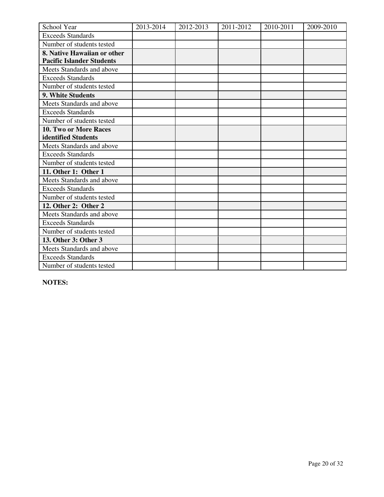| School Year                      | 2013-2014 | 2012-2013 | 2011-2012 | 2010-2011 | 2009-2010 |
|----------------------------------|-----------|-----------|-----------|-----------|-----------|
| <b>Exceeds Standards</b>         |           |           |           |           |           |
| Number of students tested        |           |           |           |           |           |
| 8. Native Hawaiian or other      |           |           |           |           |           |
| <b>Pacific Islander Students</b> |           |           |           |           |           |
| Meets Standards and above        |           |           |           |           |           |
| <b>Exceeds Standards</b>         |           |           |           |           |           |
| Number of students tested        |           |           |           |           |           |
| 9. White Students                |           |           |           |           |           |
| Meets Standards and above        |           |           |           |           |           |
| <b>Exceeds Standards</b>         |           |           |           |           |           |
| Number of students tested        |           |           |           |           |           |
| 10. Two or More Races            |           |           |           |           |           |
| identified Students              |           |           |           |           |           |
| Meets Standards and above        |           |           |           |           |           |
| <b>Exceeds Standards</b>         |           |           |           |           |           |
| Number of students tested        |           |           |           |           |           |
| 11. Other 1: Other 1             |           |           |           |           |           |
| Meets Standards and above        |           |           |           |           |           |
| <b>Exceeds Standards</b>         |           |           |           |           |           |
| Number of students tested        |           |           |           |           |           |
| 12. Other 2: Other 2             |           |           |           |           |           |
| Meets Standards and above        |           |           |           |           |           |
| <b>Exceeds Standards</b>         |           |           |           |           |           |
| Number of students tested        |           |           |           |           |           |
| 13. Other 3: Other 3             |           |           |           |           |           |
| Meets Standards and above        |           |           |           |           |           |
| <b>Exceeds Standards</b>         |           |           |           |           |           |
| Number of students tested        |           |           |           |           |           |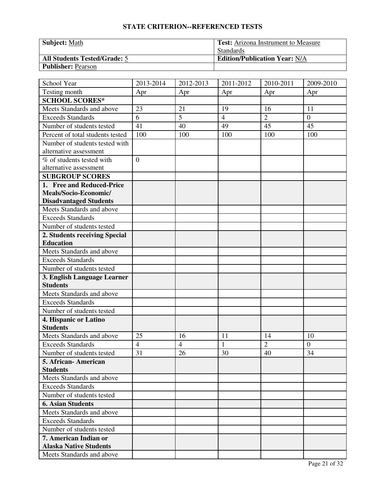| <b>Subject: Math</b>                | <b>Test:</b> Arizona Instrument to Measure |
|-------------------------------------|--------------------------------------------|
|                                     | <b>Standards</b>                           |
| <b>All Students Tested/Grade: 5</b> | <b>Edition/Publication Year: N/A</b>       |
| <b>Publisher: Pearson</b>           |                                            |

| School Year                      | 2013-2014      | 2012-2013      | 2011-2012      | 2010-2011      | 2009-2010      |
|----------------------------------|----------------|----------------|----------------|----------------|----------------|
| Testing month                    | Apr            | Apr            | Apr            | Apr            | Apr            |
| <b>SCHOOL SCORES*</b>            |                |                |                |                |                |
| Meets Standards and above        | 23             | 21             | 19             | 16             | 11             |
| <b>Exceeds Standards</b>         | 6              | 5              | $\overline{4}$ | $\overline{2}$ | $\overline{0}$ |
| Number of students tested        | 41             | 40             | 49             | 45             | 45             |
| Percent of total students tested | 100            | 100            | 100            | 100            | 100            |
| Number of students tested with   |                |                |                |                |                |
| alternative assessment           |                |                |                |                |                |
| % of students tested with        | $\overline{0}$ |                |                |                |                |
| alternative assessment           |                |                |                |                |                |
| <b>SUBGROUP SCORES</b>           |                |                |                |                |                |
| 1. Free and Reduced-Price        |                |                |                |                |                |
| Meals/Socio-Economic/            |                |                |                |                |                |
| <b>Disadvantaged Students</b>    |                |                |                |                |                |
| Meets Standards and above        |                |                |                |                |                |
| <b>Exceeds Standards</b>         |                |                |                |                |                |
| Number of students tested        |                |                |                |                |                |
| 2. Students receiving Special    |                |                |                |                |                |
| <b>Education</b>                 |                |                |                |                |                |
| Meets Standards and above        |                |                |                |                |                |
| <b>Exceeds Standards</b>         |                |                |                |                |                |
| Number of students tested        |                |                |                |                |                |
| 3. English Language Learner      |                |                |                |                |                |
| <b>Students</b>                  |                |                |                |                |                |
| Meets Standards and above        |                |                |                |                |                |
| <b>Exceeds Standards</b>         |                |                |                |                |                |
| Number of students tested        |                |                |                |                |                |
| 4. Hispanic or Latino            |                |                |                |                |                |
| <b>Students</b>                  |                |                |                |                |                |
| Meets Standards and above        | 25             | 16             | 11             | 14             | 10             |
| <b>Exceeds Standards</b>         | $\overline{4}$ | $\overline{4}$ | $\mathbf{1}$   | $\overline{2}$ | $\overline{0}$ |
| Number of students tested        | 31             | 26             | 30             | 40             | 34             |
| 5. African-American              |                |                |                |                |                |
| <b>Students</b>                  |                |                |                |                |                |
| Meets Standards and above        |                |                |                |                |                |
| <b>Exceeds Standards</b>         |                |                |                |                |                |
| Number of students tested        |                |                |                |                |                |
| <b>6. Asian Students</b>         |                |                |                |                |                |
| Meets Standards and above        |                |                |                |                |                |
| <b>Exceeds Standards</b>         |                |                |                |                |                |
| Number of students tested        |                |                |                |                |                |
| 7. American Indian or            |                |                |                |                |                |
| <b>Alaska Native Students</b>    |                |                |                |                |                |
| Meets Standards and above        |                |                |                |                |                |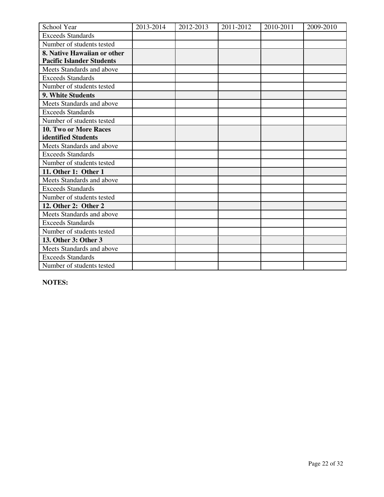| School Year                      | 2013-2014 | 2012-2013 | 2011-2012 | 2010-2011 | 2009-2010 |
|----------------------------------|-----------|-----------|-----------|-----------|-----------|
| <b>Exceeds Standards</b>         |           |           |           |           |           |
| Number of students tested        |           |           |           |           |           |
| 8. Native Hawaiian or other      |           |           |           |           |           |
| <b>Pacific Islander Students</b> |           |           |           |           |           |
| Meets Standards and above        |           |           |           |           |           |
| <b>Exceeds Standards</b>         |           |           |           |           |           |
| Number of students tested        |           |           |           |           |           |
| 9. White Students                |           |           |           |           |           |
| Meets Standards and above        |           |           |           |           |           |
| <b>Exceeds Standards</b>         |           |           |           |           |           |
| Number of students tested        |           |           |           |           |           |
| 10. Two or More Races            |           |           |           |           |           |
| identified Students              |           |           |           |           |           |
| Meets Standards and above        |           |           |           |           |           |
| <b>Exceeds Standards</b>         |           |           |           |           |           |
| Number of students tested        |           |           |           |           |           |
| 11. Other 1: Other 1             |           |           |           |           |           |
| Meets Standards and above        |           |           |           |           |           |
| <b>Exceeds Standards</b>         |           |           |           |           |           |
| Number of students tested        |           |           |           |           |           |
| 12. Other 2: Other 2             |           |           |           |           |           |
| Meets Standards and above        |           |           |           |           |           |
| <b>Exceeds Standards</b>         |           |           |           |           |           |
| Number of students tested        |           |           |           |           |           |
| 13. Other 3: Other 3             |           |           |           |           |           |
| Meets Standards and above        |           |           |           |           |           |
| <b>Exceeds Standards</b>         |           |           |           |           |           |
| Number of students tested        |           |           |           |           |           |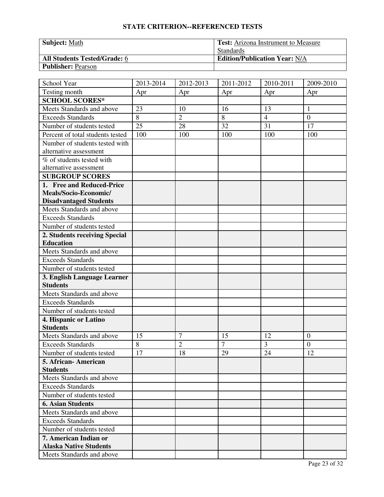| <b>Subject: Math</b>                | <b>Test:</b> Arizona Instrument to Measure |
|-------------------------------------|--------------------------------------------|
|                                     | <b>Standards</b>                           |
| <b>All Students Tested/Grade: 6</b> | <b>Edition/Publication Year: N/A</b>       |
| <b>Publisher: Pearson</b>           |                                            |

| School Year                      | 2013-2014 | 2012-2013      | 2011-2012      | 2010-2011      | 2009-2010        |
|----------------------------------|-----------|----------------|----------------|----------------|------------------|
| Testing month                    | Apr       | Apr            | Apr            | Apr            | Apr              |
| <b>SCHOOL SCORES*</b>            |           |                |                |                |                  |
| Meets Standards and above        | 23        | 10             | 16             | 13             | 1                |
| <b>Exceeds Standards</b>         | 8         | $\overline{2}$ | 8              | $\overline{4}$ | $\overline{0}$   |
| Number of students tested        | 25        | 28             | 32             | 31             | 17               |
| Percent of total students tested | 100       | 100            | 100            | 100            | 100              |
| Number of students tested with   |           |                |                |                |                  |
| alternative assessment           |           |                |                |                |                  |
| % of students tested with        |           |                |                |                |                  |
| alternative assessment           |           |                |                |                |                  |
| <b>SUBGROUP SCORES</b>           |           |                |                |                |                  |
| 1. Free and Reduced-Price        |           |                |                |                |                  |
| Meals/Socio-Economic/            |           |                |                |                |                  |
| <b>Disadvantaged Students</b>    |           |                |                |                |                  |
| Meets Standards and above        |           |                |                |                |                  |
| <b>Exceeds Standards</b>         |           |                |                |                |                  |
| Number of students tested        |           |                |                |                |                  |
| 2. Students receiving Special    |           |                |                |                |                  |
| <b>Education</b>                 |           |                |                |                |                  |
| Meets Standards and above        |           |                |                |                |                  |
| <b>Exceeds Standards</b>         |           |                |                |                |                  |
| Number of students tested        |           |                |                |                |                  |
| 3. English Language Learner      |           |                |                |                |                  |
| <b>Students</b>                  |           |                |                |                |                  |
| Meets Standards and above        |           |                |                |                |                  |
| <b>Exceeds Standards</b>         |           |                |                |                |                  |
| Number of students tested        |           |                |                |                |                  |
| 4. Hispanic or Latino            |           |                |                |                |                  |
| <b>Students</b>                  |           |                |                |                |                  |
| Meets Standards and above        | 15        | $\overline{7}$ | 15             | 12             | $\boldsymbol{0}$ |
| <b>Exceeds Standards</b>         | 8         | $\overline{2}$ | $\overline{7}$ | 3              | $\overline{0}$   |
| Number of students tested        | 17        | 18             | 29             | 24             | 12               |
| 5. African-American              |           |                |                |                |                  |
| <b>Students</b>                  |           |                |                |                |                  |
| Meets Standards and above        |           |                |                |                |                  |
| <b>Exceeds Standards</b>         |           |                |                |                |                  |
| Number of students tested        |           |                |                |                |                  |
| <b>6. Asian Students</b>         |           |                |                |                |                  |
| Meets Standards and above        |           |                |                |                |                  |
| <b>Exceeds Standards</b>         |           |                |                |                |                  |
| Number of students tested        |           |                |                |                |                  |
| 7. American Indian or            |           |                |                |                |                  |
| <b>Alaska Native Students</b>    |           |                |                |                |                  |
| Meets Standards and above        |           |                |                |                |                  |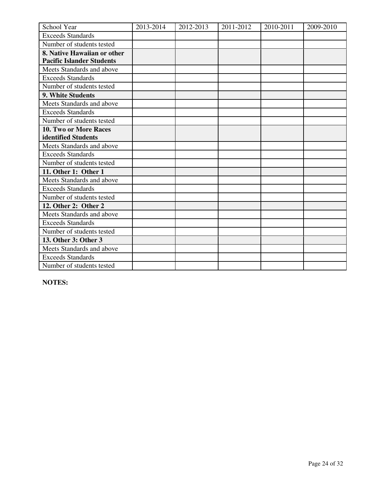| School Year                      | 2013-2014 | 2012-2013 | 2011-2012 | 2010-2011 | 2009-2010 |
|----------------------------------|-----------|-----------|-----------|-----------|-----------|
| <b>Exceeds Standards</b>         |           |           |           |           |           |
| Number of students tested        |           |           |           |           |           |
| 8. Native Hawaiian or other      |           |           |           |           |           |
| <b>Pacific Islander Students</b> |           |           |           |           |           |
| Meets Standards and above        |           |           |           |           |           |
| <b>Exceeds Standards</b>         |           |           |           |           |           |
| Number of students tested        |           |           |           |           |           |
| 9. White Students                |           |           |           |           |           |
| Meets Standards and above        |           |           |           |           |           |
| <b>Exceeds Standards</b>         |           |           |           |           |           |
| Number of students tested        |           |           |           |           |           |
| 10. Two or More Races            |           |           |           |           |           |
| identified Students              |           |           |           |           |           |
| Meets Standards and above        |           |           |           |           |           |
| <b>Exceeds Standards</b>         |           |           |           |           |           |
| Number of students tested        |           |           |           |           |           |
| 11. Other 1: Other 1             |           |           |           |           |           |
| Meets Standards and above        |           |           |           |           |           |
| <b>Exceeds Standards</b>         |           |           |           |           |           |
| Number of students tested        |           |           |           |           |           |
| 12. Other 2: Other 2             |           |           |           |           |           |
| Meets Standards and above        |           |           |           |           |           |
| <b>Exceeds Standards</b>         |           |           |           |           |           |
| Number of students tested        |           |           |           |           |           |
| 13. Other 3: Other 3             |           |           |           |           |           |
| Meets Standards and above        |           |           |           |           |           |
| <b>Exceeds Standards</b>         |           |           |           |           |           |
| Number of students tested        |           |           |           |           |           |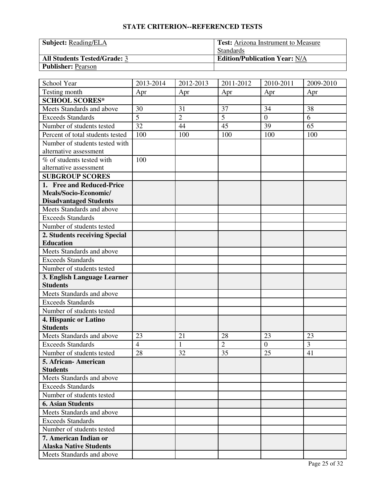| <b>Subject:</b> Reading/ELA         | <b>Test:</b> Arizona Instrument to Measure |
|-------------------------------------|--------------------------------------------|
|                                     | <b>Standards</b>                           |
| <b>All Students Tested/Grade: 3</b> | <b>Edition/Publication Year: N/A</b>       |
| <b>Publisher: Pearson</b>           |                                            |

| School Year                      | 2013-2014      | 2012-2013      | 2011-2012      | 2010-2011      | 2009-2010 |
|----------------------------------|----------------|----------------|----------------|----------------|-----------|
| Testing month                    | Apr            | Apr            | Apr            | Apr            | Apr       |
| <b>SCHOOL SCORES*</b>            |                |                |                |                |           |
| Meets Standards and above        | 30             | 31             | 37             | 34             | 38        |
| <b>Exceeds Standards</b>         | $\overline{5}$ | $\overline{2}$ | $\overline{5}$ | $\overline{0}$ | 6         |
| Number of students tested        | 32             | 44             | 45             | 39             | 65        |
| Percent of total students tested | 100            | 100            | 100            | 100            | 100       |
| Number of students tested with   |                |                |                |                |           |
| alternative assessment           |                |                |                |                |           |
| % of students tested with        | 100            |                |                |                |           |
| alternative assessment           |                |                |                |                |           |
| <b>SUBGROUP SCORES</b>           |                |                |                |                |           |
| 1. Free and Reduced-Price        |                |                |                |                |           |
| Meals/Socio-Economic/            |                |                |                |                |           |
| <b>Disadvantaged Students</b>    |                |                |                |                |           |
| Meets Standards and above        |                |                |                |                |           |
| <b>Exceeds Standards</b>         |                |                |                |                |           |
| Number of students tested        |                |                |                |                |           |
| 2. Students receiving Special    |                |                |                |                |           |
| <b>Education</b>                 |                |                |                |                |           |
| Meets Standards and above        |                |                |                |                |           |
| <b>Exceeds Standards</b>         |                |                |                |                |           |
| Number of students tested        |                |                |                |                |           |
| 3. English Language Learner      |                |                |                |                |           |
| <b>Students</b>                  |                |                |                |                |           |
| Meets Standards and above        |                |                |                |                |           |
| <b>Exceeds Standards</b>         |                |                |                |                |           |
| Number of students tested        |                |                |                |                |           |
| 4. Hispanic or Latino            |                |                |                |                |           |
| <b>Students</b>                  |                |                |                |                |           |
| Meets Standards and above        | 23             | 21             | 28             | 23             | 23        |
| <b>Exceeds Standards</b>         | $\overline{4}$ | $\mathbf{1}$   | $\overline{2}$ | $\overline{0}$ | 3         |
| Number of students tested        | 28             | 32             | 35             | 25             | 41        |
| 5. African-American              |                |                |                |                |           |
| <b>Students</b>                  |                |                |                |                |           |
| Meets Standards and above        |                |                |                |                |           |
| <b>Exceeds Standards</b>         |                |                |                |                |           |
| Number of students tested        |                |                |                |                |           |
| <b>6. Asian Students</b>         |                |                |                |                |           |
| Meets Standards and above        |                |                |                |                |           |
| <b>Exceeds Standards</b>         |                |                |                |                |           |
| Number of students tested        |                |                |                |                |           |
| 7. American Indian or            |                |                |                |                |           |
| <b>Alaska Native Students</b>    |                |                |                |                |           |
| Meets Standards and above        |                |                |                |                |           |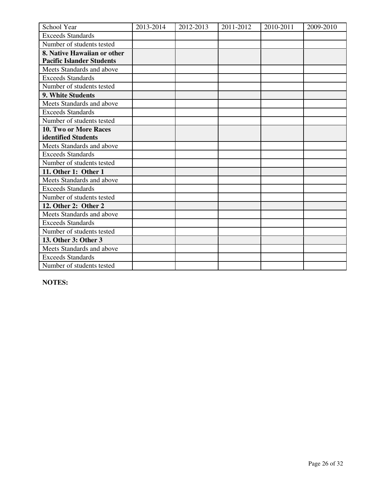| School Year                      | 2013-2014 | 2012-2013 | 2011-2012 | 2010-2011 | 2009-2010 |
|----------------------------------|-----------|-----------|-----------|-----------|-----------|
| <b>Exceeds Standards</b>         |           |           |           |           |           |
| Number of students tested        |           |           |           |           |           |
| 8. Native Hawaiian or other      |           |           |           |           |           |
| <b>Pacific Islander Students</b> |           |           |           |           |           |
| Meets Standards and above        |           |           |           |           |           |
| <b>Exceeds Standards</b>         |           |           |           |           |           |
| Number of students tested        |           |           |           |           |           |
| 9. White Students                |           |           |           |           |           |
| Meets Standards and above        |           |           |           |           |           |
| <b>Exceeds Standards</b>         |           |           |           |           |           |
| Number of students tested        |           |           |           |           |           |
| 10. Two or More Races            |           |           |           |           |           |
| identified Students              |           |           |           |           |           |
| Meets Standards and above        |           |           |           |           |           |
| <b>Exceeds Standards</b>         |           |           |           |           |           |
| Number of students tested        |           |           |           |           |           |
| 11. Other 1: Other 1             |           |           |           |           |           |
| Meets Standards and above        |           |           |           |           |           |
| <b>Exceeds Standards</b>         |           |           |           |           |           |
| Number of students tested        |           |           |           |           |           |
| 12. Other 2: Other 2             |           |           |           |           |           |
| Meets Standards and above        |           |           |           |           |           |
| <b>Exceeds Standards</b>         |           |           |           |           |           |
| Number of students tested        |           |           |           |           |           |
| 13. Other 3: Other 3             |           |           |           |           |           |
| Meets Standards and above        |           |           |           |           |           |
| <b>Exceeds Standards</b>         |           |           |           |           |           |
| Number of students tested        |           |           |           |           |           |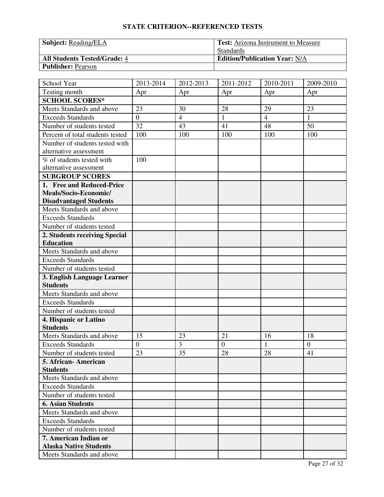| <b>Subject:</b> Reading/ELA         | <b>Test:</b> Arizona Instrument to Measure |
|-------------------------------------|--------------------------------------------|
|                                     | <b>Standards</b>                           |
| <b>All Students Tested/Grade: 4</b> | <b>Edition/Publication Year: N/A</b>       |
| <b>Publisher: Pearson</b>           |                                            |

| School Year                      | 2013-2014        | 2012-2013      | 2011-2012      | 2010-2011      | 2009-2010      |
|----------------------------------|------------------|----------------|----------------|----------------|----------------|
| Testing month                    | Apr              | Apr            | Apr            | Apr            | Apr            |
| <b>SCHOOL SCORES*</b>            |                  |                |                |                |                |
| Meets Standards and above        | 23               | 30             | 28             | 29             | 23             |
| <b>Exceeds Standards</b>         | $\boldsymbol{0}$ | $\overline{4}$ | $\mathbf{1}$   | $\overline{4}$ | $\mathbf{1}$   |
| Number of students tested        | 32               | 43             | 41             | 48             | 50             |
| Percent of total students tested | 100              | 100            | 100            | 100            | 100            |
| Number of students tested with   |                  |                |                |                |                |
| alternative assessment           |                  |                |                |                |                |
| % of students tested with        | 100              |                |                |                |                |
| alternative assessment           |                  |                |                |                |                |
| <b>SUBGROUP SCORES</b>           |                  |                |                |                |                |
| 1. Free and Reduced-Price        |                  |                |                |                |                |
| Meals/Socio-Economic/            |                  |                |                |                |                |
| <b>Disadvantaged Students</b>    |                  |                |                |                |                |
| Meets Standards and above        |                  |                |                |                |                |
| <b>Exceeds Standards</b>         |                  |                |                |                |                |
| Number of students tested        |                  |                |                |                |                |
| 2. Students receiving Special    |                  |                |                |                |                |
| <b>Education</b>                 |                  |                |                |                |                |
| Meets Standards and above        |                  |                |                |                |                |
| <b>Exceeds Standards</b>         |                  |                |                |                |                |
| Number of students tested        |                  |                |                |                |                |
| 3. English Language Learner      |                  |                |                |                |                |
| <b>Students</b>                  |                  |                |                |                |                |
| Meets Standards and above        |                  |                |                |                |                |
| <b>Exceeds Standards</b>         |                  |                |                |                |                |
| Number of students tested        |                  |                |                |                |                |
| 4. Hispanic or Latino            |                  |                |                |                |                |
| <b>Students</b>                  |                  |                |                |                |                |
| Meets Standards and above        | 15               | 23             | 21             | 16             | 18             |
| <b>Exceeds Standards</b>         | $\boldsymbol{0}$ | 3              | $\overline{0}$ | $\mathbf{1}$   | $\overline{0}$ |
| Number of students tested        | 23               | 35             | 28             | 28             | 41             |
| 5. African-American              |                  |                |                |                |                |
| <b>Students</b>                  |                  |                |                |                |                |
| Meets Standards and above        |                  |                |                |                |                |
| <b>Exceeds Standards</b>         |                  |                |                |                |                |
| Number of students tested        |                  |                |                |                |                |
| <b>6. Asian Students</b>         |                  |                |                |                |                |
| Meets Standards and above        |                  |                |                |                |                |
| <b>Exceeds Standards</b>         |                  |                |                |                |                |
| Number of students tested        |                  |                |                |                |                |
| 7. American Indian or            |                  |                |                |                |                |
| <b>Alaska Native Students</b>    |                  |                |                |                |                |
| Meets Standards and above        |                  |                |                |                |                |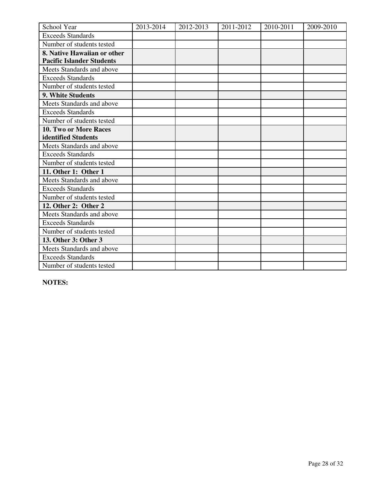| School Year                      | 2013-2014 | 2012-2013 | 2011-2012 | 2010-2011 | 2009-2010 |
|----------------------------------|-----------|-----------|-----------|-----------|-----------|
| <b>Exceeds Standards</b>         |           |           |           |           |           |
| Number of students tested        |           |           |           |           |           |
| 8. Native Hawaiian or other      |           |           |           |           |           |
| <b>Pacific Islander Students</b> |           |           |           |           |           |
| Meets Standards and above        |           |           |           |           |           |
| <b>Exceeds Standards</b>         |           |           |           |           |           |
| Number of students tested        |           |           |           |           |           |
| 9. White Students                |           |           |           |           |           |
| Meets Standards and above        |           |           |           |           |           |
| <b>Exceeds Standards</b>         |           |           |           |           |           |
| Number of students tested        |           |           |           |           |           |
| 10. Two or More Races            |           |           |           |           |           |
| identified Students              |           |           |           |           |           |
| Meets Standards and above        |           |           |           |           |           |
| <b>Exceeds Standards</b>         |           |           |           |           |           |
| Number of students tested        |           |           |           |           |           |
| 11. Other 1: Other 1             |           |           |           |           |           |
| Meets Standards and above        |           |           |           |           |           |
| <b>Exceeds Standards</b>         |           |           |           |           |           |
| Number of students tested        |           |           |           |           |           |
| 12. Other 2: Other 2             |           |           |           |           |           |
| Meets Standards and above        |           |           |           |           |           |
| <b>Exceeds Standards</b>         |           |           |           |           |           |
| Number of students tested        |           |           |           |           |           |
| 13. Other 3: Other 3             |           |           |           |           |           |
| Meets Standards and above        |           |           |           |           |           |
| <b>Exceeds Standards</b>         |           |           |           |           |           |
| Number of students tested        |           |           |           |           |           |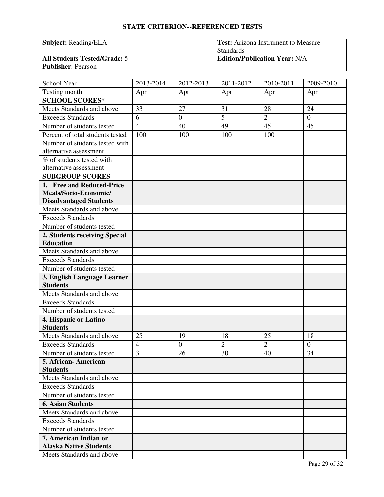| <b>Subject:</b> Reading/ELA         | <b>Test:</b> Arizona Instrument to Measure |  |  |
|-------------------------------------|--------------------------------------------|--|--|
|                                     | <b>Standards</b>                           |  |  |
| <b>All Students Tested/Grade: 5</b> | <b>Edition/Publication Year: N/A</b>       |  |  |
| <b>Publisher: Pearson</b>           |                                            |  |  |

| School Year                      | 2013-2014      | 2012-2013        | 2011-2012      | 2010-2011      | 2009-2010      |
|----------------------------------|----------------|------------------|----------------|----------------|----------------|
| Testing month                    | Apr            | Apr              | Apr            | Apr            | Apr            |
| <b>SCHOOL SCORES*</b>            |                |                  |                |                |                |
| Meets Standards and above        | 33             | 27               | 31             | 28             | 24             |
| <b>Exceeds Standards</b>         | 6              | $\boldsymbol{0}$ | 5              | $\overline{2}$ | $\overline{0}$ |
| Number of students tested        | 41             | 40               | 49             | 45             | 45             |
| Percent of total students tested | 100            | 100              | 100            | 100            |                |
| Number of students tested with   |                |                  |                |                |                |
| alternative assessment           |                |                  |                |                |                |
| % of students tested with        |                |                  |                |                |                |
| alternative assessment           |                |                  |                |                |                |
| <b>SUBGROUP SCORES</b>           |                |                  |                |                |                |
| 1. Free and Reduced-Price        |                |                  |                |                |                |
| Meals/Socio-Economic/            |                |                  |                |                |                |
| <b>Disadvantaged Students</b>    |                |                  |                |                |                |
| Meets Standards and above        |                |                  |                |                |                |
| <b>Exceeds Standards</b>         |                |                  |                |                |                |
| Number of students tested        |                |                  |                |                |                |
| 2. Students receiving Special    |                |                  |                |                |                |
| <b>Education</b>                 |                |                  |                |                |                |
| Meets Standards and above        |                |                  |                |                |                |
| <b>Exceeds Standards</b>         |                |                  |                |                |                |
| Number of students tested        |                |                  |                |                |                |
| 3. English Language Learner      |                |                  |                |                |                |
| <b>Students</b>                  |                |                  |                |                |                |
| Meets Standards and above        |                |                  |                |                |                |
| <b>Exceeds Standards</b>         |                |                  |                |                |                |
| Number of students tested        |                |                  |                |                |                |
| 4. Hispanic or Latino            |                |                  |                |                |                |
| <b>Students</b>                  |                |                  |                |                |                |
| Meets Standards and above        | 25             | 19               | 18             | 25             | 18             |
| <b>Exceeds Standards</b>         | $\overline{4}$ | $\overline{0}$   | $\overline{2}$ | $\overline{2}$ | $\overline{0}$ |
| Number of students tested        | 31             | 26               | 30             | 40             | 34             |
| 5. African-American              |                |                  |                |                |                |
| <b>Students</b>                  |                |                  |                |                |                |
| Meets Standards and above        |                |                  |                |                |                |
| <b>Exceeds Standards</b>         |                |                  |                |                |                |
| Number of students tested        |                |                  |                |                |                |
| <b>6. Asian Students</b>         |                |                  |                |                |                |
| Meets Standards and above        |                |                  |                |                |                |
| <b>Exceeds Standards</b>         |                |                  |                |                |                |
| Number of students tested        |                |                  |                |                |                |
| 7. American Indian or            |                |                  |                |                |                |
| <b>Alaska Native Students</b>    |                |                  |                |                |                |
| Meets Standards and above        |                |                  |                |                |                |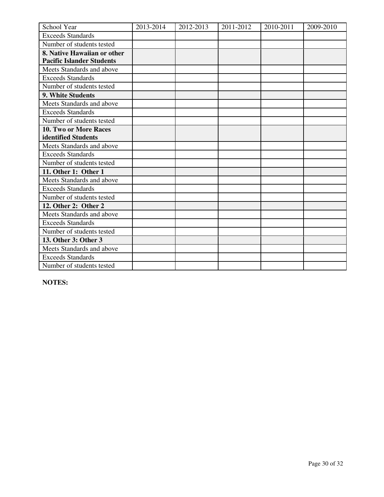| School Year                      | 2013-2014 | 2012-2013 | 2011-2012 | 2010-2011 | 2009-2010 |
|----------------------------------|-----------|-----------|-----------|-----------|-----------|
| <b>Exceeds Standards</b>         |           |           |           |           |           |
| Number of students tested        |           |           |           |           |           |
| 8. Native Hawaiian or other      |           |           |           |           |           |
| <b>Pacific Islander Students</b> |           |           |           |           |           |
| Meets Standards and above        |           |           |           |           |           |
| <b>Exceeds Standards</b>         |           |           |           |           |           |
| Number of students tested        |           |           |           |           |           |
| 9. White Students                |           |           |           |           |           |
| Meets Standards and above        |           |           |           |           |           |
| <b>Exceeds Standards</b>         |           |           |           |           |           |
| Number of students tested        |           |           |           |           |           |
| 10. Two or More Races            |           |           |           |           |           |
| identified Students              |           |           |           |           |           |
| Meets Standards and above        |           |           |           |           |           |
| <b>Exceeds Standards</b>         |           |           |           |           |           |
| Number of students tested        |           |           |           |           |           |
| 11. Other 1: Other 1             |           |           |           |           |           |
| Meets Standards and above        |           |           |           |           |           |
| <b>Exceeds Standards</b>         |           |           |           |           |           |
| Number of students tested        |           |           |           |           |           |
| 12. Other 2: Other 2             |           |           |           |           |           |
| Meets Standards and above        |           |           |           |           |           |
| <b>Exceeds Standards</b>         |           |           |           |           |           |
| Number of students tested        |           |           |           |           |           |
| 13. Other 3: Other 3             |           |           |           |           |           |
| Meets Standards and above        |           |           |           |           |           |
| <b>Exceeds Standards</b>         |           |           |           |           |           |
| Number of students tested        |           |           |           |           |           |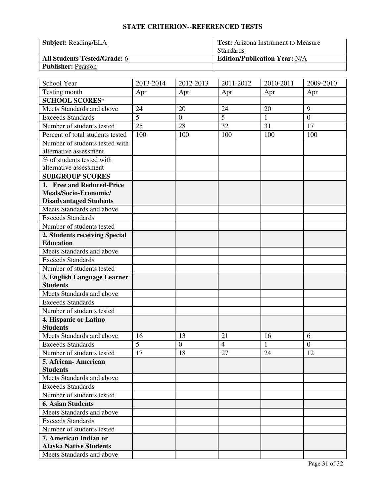| <b>Subject:</b> Reading/ELA         | <b>Test:</b> Arizona Instrument to Measure |  |  |  |
|-------------------------------------|--------------------------------------------|--|--|--|
|                                     | <b>Standards</b>                           |  |  |  |
| <b>All Students Tested/Grade: 6</b> | <b>Edition/Publication Year: N/A</b>       |  |  |  |
| <b>Publisher: Pearson</b>           |                                            |  |  |  |

| School Year                      | 2013-2014 | 2012-2013        | 2011-2012      | 2010-2011    | 2009-2010      |
|----------------------------------|-----------|------------------|----------------|--------------|----------------|
| Testing month                    | Apr       | Apr              | Apr            | Apr          | Apr            |
| <b>SCHOOL SCORES*</b>            |           |                  |                |              |                |
| Meets Standards and above        | 24        | 20               | 24             | 20           | 9              |
| <b>Exceeds Standards</b>         | 5         | $\boldsymbol{0}$ | 5              | $\mathbf{1}$ | $\overline{0}$ |
| Number of students tested        | 25        | 28               | 32             | 31           | 17             |
| Percent of total students tested | 100       | 100              | 100            | 100          | 100            |
| Number of students tested with   |           |                  |                |              |                |
| alternative assessment           |           |                  |                |              |                |
| % of students tested with        |           |                  |                |              |                |
| alternative assessment           |           |                  |                |              |                |
| <b>SUBGROUP SCORES</b>           |           |                  |                |              |                |
| 1. Free and Reduced-Price        |           |                  |                |              |                |
| Meals/Socio-Economic/            |           |                  |                |              |                |
| <b>Disadvantaged Students</b>    |           |                  |                |              |                |
| Meets Standards and above        |           |                  |                |              |                |
| <b>Exceeds Standards</b>         |           |                  |                |              |                |
| Number of students tested        |           |                  |                |              |                |
| 2. Students receiving Special    |           |                  |                |              |                |
| <b>Education</b>                 |           |                  |                |              |                |
| Meets Standards and above        |           |                  |                |              |                |
| <b>Exceeds Standards</b>         |           |                  |                |              |                |
| Number of students tested        |           |                  |                |              |                |
| 3. English Language Learner      |           |                  |                |              |                |
| <b>Students</b>                  |           |                  |                |              |                |
| Meets Standards and above        |           |                  |                |              |                |
| <b>Exceeds Standards</b>         |           |                  |                |              |                |
| Number of students tested        |           |                  |                |              |                |
| 4. Hispanic or Latino            |           |                  |                |              |                |
| <b>Students</b>                  |           |                  |                |              |                |
| Meets Standards and above        | 16        | 13               | 21             | 16           | 6              |
| <b>Exceeds Standards</b>         | 5         | $\overline{0}$   | $\overline{4}$ | $\mathbf{1}$ | $\overline{0}$ |
| Number of students tested        | 17        | 18               | 27             | 24           | 12             |
| 5. African-American              |           |                  |                |              |                |
| <b>Students</b>                  |           |                  |                |              |                |
| Meets Standards and above        |           |                  |                |              |                |
| <b>Exceeds Standards</b>         |           |                  |                |              |                |
| Number of students tested        |           |                  |                |              |                |
| <b>6. Asian Students</b>         |           |                  |                |              |                |
| Meets Standards and above        |           |                  |                |              |                |
| <b>Exceeds Standards</b>         |           |                  |                |              |                |
| Number of students tested        |           |                  |                |              |                |
| 7. American Indian or            |           |                  |                |              |                |
| <b>Alaska Native Students</b>    |           |                  |                |              |                |
| Meets Standards and above        |           |                  |                |              |                |